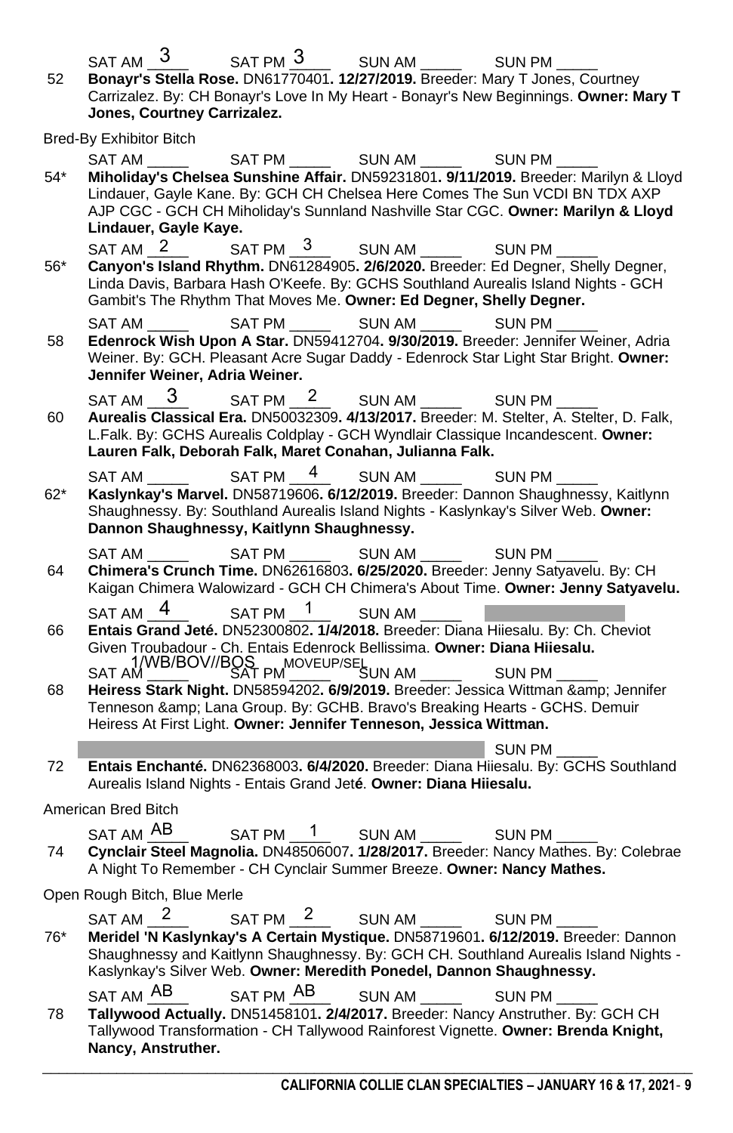| 52    | $SAT AM$ 3<br>$SATPM \frac{3}{ }$ SUN AM $\frac{3}{ }$<br><b>SUN PM</b><br>Bonayr's Stella Rose. DN61770401. 12/27/2019. Breeder: Mary T Jones, Courtney<br>Carrizalez. By: CH Bonayr's Love In My Heart - Bonayr's New Beginnings. Owner: Mary T<br>Jones, Courtney Carrizalez.                                         |  |  |  |  |  |  |
|-------|--------------------------------------------------------------------------------------------------------------------------------------------------------------------------------------------------------------------------------------------------------------------------------------------------------------------------|--|--|--|--|--|--|
|       | <b>Bred-By Exhibitor Bitch</b>                                                                                                                                                                                                                                                                                           |  |  |  |  |  |  |
| 54*   | SAT AM<br>Miholiday's Chelsea Sunshine Affair. DN59231801. 9/11/2019. Breeder: Marilyn & Lloyd<br>Lindauer, Gayle Kane. By: GCH CH Chelsea Here Comes The Sun VCDI BN TDX AXP<br>AJP CGC - GCH CH Miholiday's Sunnland Nashville Star CGC. Owner: Marilyn & Lloyd<br>Lindauer, Gayle Kaye.                               |  |  |  |  |  |  |
| $56*$ | SAT AM <sub>2</sub><br>SAT PM 3<br>SUN AM $-$ 3<br>SUN PM<br>Canyon's Island Rhythm. DN61284905. 2/6/2020. Breeder: Ed Degner, Shelly Degner,<br>Linda Davis, Barbara Hash O'Keefe. By: GCHS Southland Aurealis Island Nights - GCH<br>Gambit's The Rhythm That Moves Me. Owner: Ed Degner, Shelly Degner.               |  |  |  |  |  |  |
| 58    | 4<br>SUN AM<br>SAT PM _____<br><b>SUN PM</b><br>SAT AM<br>Edenrock Wish Upon A Star. DN59412704. 9/30/2019. Breeder: Jennifer Weiner, Adria<br>Weiner. By: GCH. Pleasant Acre Sugar Daddy - Edenrock Star Light Star Bright. Owner:<br>Jennifer Weiner, Adria Weiner.                                                    |  |  |  |  |  |  |
| 60    | 3<br>SAT PM $\frac{2}{ }$<br>SUN AM<br>SAT AM<br>SUN PM<br>Aurealis Classical Era. DN50032309. 4/13/2017. Breeder: M. Stelter, A. Stelter, D. Falk,<br>L.Falk. By: GCHS Aurealis Coldplay - GCH Wyndlair Classique Incandescent. Owner:<br>Lauren Falk, Deborah Falk, Maret Conahan, Julianna Falk.                      |  |  |  |  |  |  |
| 62*   | SAT PM $-$ <sup>4</sup><br>SUN AM $\frac{2}{3}$<br>SAT AM<br>SUN PM<br>Kaslynkay's Marvel. DN58719606. 6/12/2019. Breeder: Dannon Shaughnessy, Kaitlynn<br>Shaughnessy. By: Southland Aurealis Island Nights - Kaslynkay's Silver Web. Owner:<br>Dannon Shaughnessy, Kaitlynn Shaughnessy.                               |  |  |  |  |  |  |
| 64    | SAT PM<br>SUN AM<br>SUN PM<br>SAT AM<br>Chimera's Crunch Time. DN62616803. 6/25/2020. Breeder: Jenny Satyavelu. By: CH<br>Kaigan Chimera Walowizard - GCH CH Chimera's About Time. Owner: Jenny Satyavelu.                                                                                                               |  |  |  |  |  |  |
| 66    | 1/WB<br>$\mathbf{1}$<br>SUN AM<br>SAT PM<br>SAT AM<br>Entais Grand Jeté. DN52300802. 1/4/2018. Breeder: Diana Hiiesalu. By: Ch. Cheviot<br>Given Troubadour - Ch. Entais Edenrock Bellissima. Owner: Diana Hiiesalu.                                                                                                     |  |  |  |  |  |  |
| 68    | SAT AM MB/BOV//BOS PM NOVEUP/SEL UN AM MOVEUP SUN PM MOVEUP<br>Heiress Stark Night. DN58594202. 6/9/2019. Breeder: Jessica Wittman & Jennifer<br>Tenneson & Lana Group. By: GCHB. Bravo's Breaking Hearts - GCHS. Demuir<br>Heiress At First Light. Owner: Jennifer Tenneson, Jessica Wittman.                           |  |  |  |  |  |  |
|       | SUN PM                                                                                                                                                                                                                                                                                                                   |  |  |  |  |  |  |
| 72    | Entais Enchanté. DN62368003. 6/4/2020. Breeder: Diana Hiiesalu. By: GCHS Southland<br>Aurealis Island Nights - Entais Grand Jeté. Owner: Diana Hiiesalu.                                                                                                                                                                 |  |  |  |  |  |  |
|       | American Bred Bitch                                                                                                                                                                                                                                                                                                      |  |  |  |  |  |  |
| 74    | SAT AM AB<br>$SAT PM$ $1$ $SUN AM$ $1$ $SUN PM$<br>Cynclair Steel Magnolia. DN48506007. 1/28/2017. Breeder: Nancy Mathes. By: Colebrae<br>A Night To Remember - CH Cynclair Summer Breeze. Owner: Nancy Mathes.                                                                                                          |  |  |  |  |  |  |
|       | Open Rough Bitch, Blue Merle                                                                                                                                                                                                                                                                                             |  |  |  |  |  |  |
| 76*   | SAT PM <sup>2</sup><br>SAT AM <sub>2</sub><br>SUN AM $^2$<br>SUN PM<br>Meridel 'N Kaslynkay's A Certain Mystique. DN58719601. 6/12/2019. Breeder: Dannon<br>Shaughnessy and Kaitlynn Shaughnessy. By: GCH CH. Southland Aurealis Island Nights -<br>Kaslynkay's Silver Web. Owner: Meredith Ponedel, Dannon Shaughnessy. |  |  |  |  |  |  |
| 78    | SAT AM AB<br>SUN AM AB<br>SUN PM AB<br>SAT PM AB<br>Tallywood Actually. DN51458101. 2/4/2017. Breeder: Nancy Anstruther. By: GCH CH<br>Tallywood Transformation - CH Tallywood Rainforest Vignette. Owner: Brenda Knight,<br>Nancy, Anstruther.                                                                          |  |  |  |  |  |  |

\_\_\_\_\_\_\_\_\_\_\_\_\_\_\_\_\_\_\_\_\_\_\_\_\_\_\_\_\_\_\_\_\_\_\_\_\_\_\_\_\_\_\_\_\_\_\_\_\_\_\_\_\_\_\_\_\_\_\_\_\_\_\_\_\_\_\_\_\_\_\_\_\_\_\_\_\_\_\_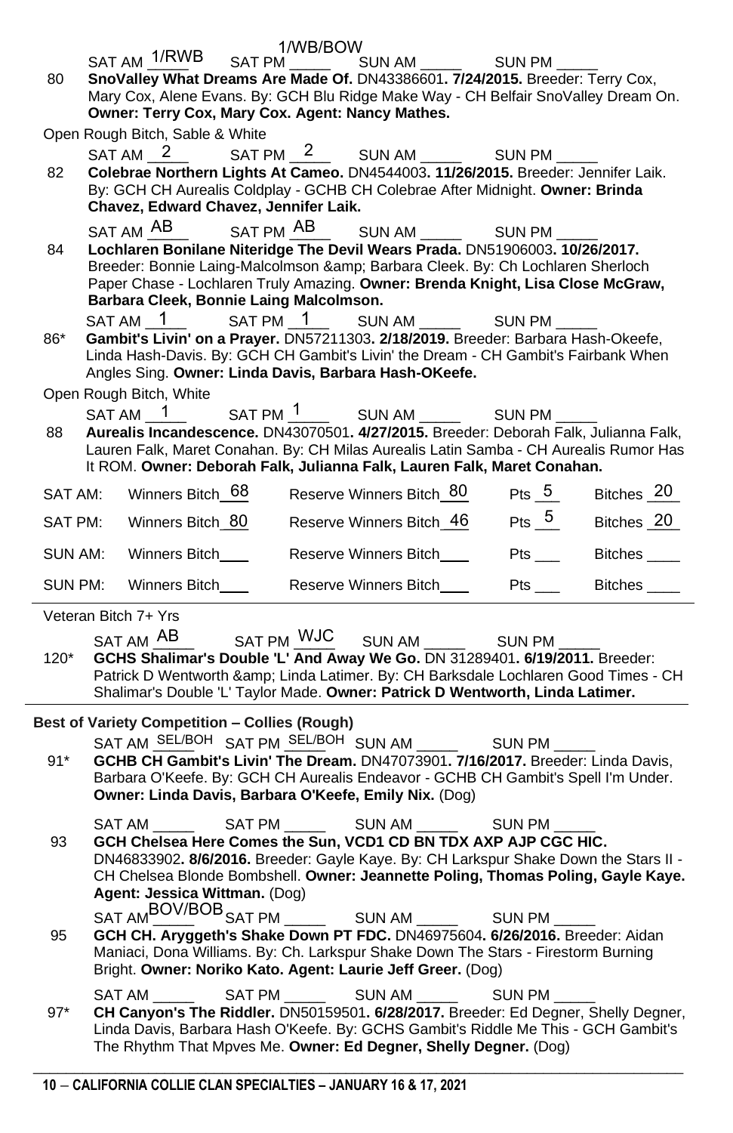|                                                                                                                        |                                                                                                                                                                     |                                                                                      | 1/WB/BOW |                                                                                                                                                        |        |  |  |  |  |  |
|------------------------------------------------------------------------------------------------------------------------|---------------------------------------------------------------------------------------------------------------------------------------------------------------------|--------------------------------------------------------------------------------------|----------|--------------------------------------------------------------------------------------------------------------------------------------------------------|--------|--|--|--|--|--|
| 80                                                                                                                     |                                                                                                                                                                     |                                                                                      |          | SAT AM $\frac{1/RWB}{1}$ SAT PM' $\frac{1}{1}$ SUN AM $\frac{1}{1}$ SUN PM $\frac{1}{1}$                                                               |        |  |  |  |  |  |
|                                                                                                                        | SnoValley What Dreams Are Made Of. DN43386601. 7/24/2015. Breeder: Terry Cox,<br>Mary Cox, Alene Evans. By: GCH Blu Ridge Make Way - CH Belfair SnoValley Dream On. |                                                                                      |          |                                                                                                                                                        |        |  |  |  |  |  |
|                                                                                                                        | Owner: Terry Cox, Mary Cox. Agent: Nancy Mathes.                                                                                                                    |                                                                                      |          |                                                                                                                                                        |        |  |  |  |  |  |
|                                                                                                                        |                                                                                                                                                                     | Open Rough Bitch, Sable & White                                                      |          |                                                                                                                                                        |        |  |  |  |  |  |
|                                                                                                                        |                                                                                                                                                                     | $SAT AM_2$                                                                           |          | SAT PM $\frac{2}{\sqrt{2}}$ SUN AM $\frac{2}{\sqrt{2}}$ SUN PM<br>Colebrae Northern Lights At Cameo. DN4544003. 11/26/2015. Breeder: Jennifer Laik.    |        |  |  |  |  |  |
| 82                                                                                                                     |                                                                                                                                                                     |                                                                                      |          |                                                                                                                                                        |        |  |  |  |  |  |
| By: GCH CH Aurealis Coldplay - GCHB CH Colebrae After Midnight. Owner: Brinda<br>Chavez, Edward Chavez, Jennifer Laik. |                                                                                                                                                                     |                                                                                      |          |                                                                                                                                                        |        |  |  |  |  |  |
|                                                                                                                        |                                                                                                                                                                     | SAT AM <sup>AB</sup>                                                                 |          |                                                                                                                                                        |        |  |  |  |  |  |
| 84                                                                                                                     |                                                                                                                                                                     | Lochlaren Bonilane Niteridge The Devil Wears Prada. DN51906003. 10/26/2017.          |          |                                                                                                                                                        |        |  |  |  |  |  |
|                                                                                                                        |                                                                                                                                                                     |                                                                                      |          | Breeder: Bonnie Laing-Malcolmson & Barbara Cleek. By: Ch Lochlaren Sherloch                                                                            |        |  |  |  |  |  |
|                                                                                                                        | Paper Chase - Lochlaren Truly Amazing. Owner: Brenda Knight, Lisa Close McGraw,<br>Barbara Cleek, Bonnie Laing Malcolmson.                                          |                                                                                      |          |                                                                                                                                                        |        |  |  |  |  |  |
|                                                                                                                        |                                                                                                                                                                     | SAT AM 1                                                                             |          | $SAT PM \t1$ $SUN AM \t1$ $SUN PM$                                                                                                                     |        |  |  |  |  |  |
| 86*                                                                                                                    |                                                                                                                                                                     |                                                                                      |          | Gambit's Livin' on a Prayer. DN57211303. 2/18/2019. Breeder: Barbara Hash-Okeefe,                                                                      |        |  |  |  |  |  |
|                                                                                                                        |                                                                                                                                                                     |                                                                                      |          | Linda Hash-Davis. By: GCH CH Gambit's Livin' the Dream - CH Gambit's Fairbank When                                                                     |        |  |  |  |  |  |
|                                                                                                                        |                                                                                                                                                                     |                                                                                      |          | Angles Sing. Owner: Linda Davis, Barbara Hash-OKeefe.                                                                                                  |        |  |  |  |  |  |
|                                                                                                                        |                                                                                                                                                                     | Open Rough Bitch, White<br>$SAT AM_1$                                                |          | $SAT PM \frac{1}{1}$ SUN AM $\frac{1}{1}$ SUN PM ____                                                                                                  |        |  |  |  |  |  |
| 88                                                                                                                     |                                                                                                                                                                     |                                                                                      |          | Aurealis Incandescence. DN43070501. 4/27/2015. Breeder: Deborah Falk, Julianna Falk,                                                                   |        |  |  |  |  |  |
|                                                                                                                        |                                                                                                                                                                     |                                                                                      |          | Lauren Falk, Maret Conahan. By: CH Milas Aurealis Latin Samba - CH Aurealis Rumor Has                                                                  |        |  |  |  |  |  |
|                                                                                                                        |                                                                                                                                                                     |                                                                                      |          | It ROM. Owner: Deborah Falk, Julianna Falk, Lauren Falk, Maret Conahan.                                                                                |        |  |  |  |  |  |
| SAT AM:                                                                                                                |                                                                                                                                                                     |                                                                                      |          | Winners Bitch 68 Reserve Winners Bitch 80 Pts 5 Bitches 20                                                                                             |        |  |  |  |  |  |
| SAT PM: Winners Bitch 80 Reserve Winners Bitch 46 Pts 5 Bitches 20                                                     |                                                                                                                                                                     |                                                                                      |          |                                                                                                                                                        |        |  |  |  |  |  |
|                                                                                                                        |                                                                                                                                                                     |                                                                                      |          | SUN AM: Winners Bitch $\frac{66}{20}$ Reserve Winners Bitch $\frac{50}{20}$ Pts $\frac{5}{20}$ Bitches $\frac{20}{20}$                                 |        |  |  |  |  |  |
| SUN PM: Winners Bitch_________Reserve Winners Bitch_________Pts ________Bitches ____                                   |                                                                                                                                                                     |                                                                                      |          |                                                                                                                                                        |        |  |  |  |  |  |
|                                                                                                                        |                                                                                                                                                                     | Veteran Bitch 7+ Yrs                                                                 |          |                                                                                                                                                        |        |  |  |  |  |  |
|                                                                                                                        |                                                                                                                                                                     |                                                                                      |          | SAT AM AB SAT PM WJC SUN AM AB SUN PM AB                                                                                                               |        |  |  |  |  |  |
| 120*                                                                                                                   |                                                                                                                                                                     |                                                                                      |          | GCHS Shalimar's Double 'L' And Away We Go. DN 31289401. 6/19/2011. Breeder:                                                                            |        |  |  |  |  |  |
|                                                                                                                        |                                                                                                                                                                     |                                                                                      |          | Patrick D Wentworth & Linda Latimer. By: CH Barksdale Lochlaren Good Times - CH                                                                        |        |  |  |  |  |  |
|                                                                                                                        |                                                                                                                                                                     |                                                                                      |          | Shalimar's Double 'L' Taylor Made. Owner: Patrick D Wentworth, Linda Latimer.                                                                          |        |  |  |  |  |  |
|                                                                                                                        |                                                                                                                                                                     |                                                                                      |          | Best of Variety Competition - Collies (Rough) BOV/BOB/BOH                                                                                              |        |  |  |  |  |  |
|                                                                                                                        |                                                                                                                                                                     |                                                                                      |          | SAT AM SEL/BOH SAT PM SEL/BOH SUN AM SUN PM<br>GCHB CH Gambit's Livin' The Dream. DN47073901. 7/16/2017. Breeder: Linda Davis,                         |        |  |  |  |  |  |
| $91*$                                                                                                                  |                                                                                                                                                                     |                                                                                      |          | Barbara O'Keefe. By: GCH CH Aurealis Endeavor - GCHB CH Gambit's Spell I'm Under.                                                                      |        |  |  |  |  |  |
|                                                                                                                        |                                                                                                                                                                     |                                                                                      |          | Owner: Linda Davis, Barbara O'Keefe, Emily Nix. (Dog)                                                                                                  |        |  |  |  |  |  |
|                                                                                                                        |                                                                                                                                                                     | SAT AM                                                                               |          |                                                                                                                                                        |        |  |  |  |  |  |
| 93                                                                                                                     |                                                                                                                                                                     |                                                                                      |          | GCH Chelsea Here Comes the Sun, VCD1 CD BN TDX AXP AJP CGC HIC.                                                                                        |        |  |  |  |  |  |
|                                                                                                                        |                                                                                                                                                                     |                                                                                      |          |                                                                                                                                                        |        |  |  |  |  |  |
|                                                                                                                        |                                                                                                                                                                     | DN46833902. 8/6/2016. Breeder: Gayle Kaye. By: CH Larkspur Shake Down the Stars II - |          |                                                                                                                                                        |        |  |  |  |  |  |
|                                                                                                                        |                                                                                                                                                                     |                                                                                      |          | CH Chelsea Blonde Bombshell. Owner: Jeannette Poling, Thomas Poling, Gayle Kaye.                                                                       |        |  |  |  |  |  |
|                                                                                                                        |                                                                                                                                                                     | Agent: Jessica Wittman. (Dog)                                                        |          |                                                                                                                                                        |        |  |  |  |  |  |
|                                                                                                                        |                                                                                                                                                                     | SAT AMBOV/BOB SAT PM                                                                 |          | SUN AM SEL                                                                                                                                             | SUN PM |  |  |  |  |  |
| 95                                                                                                                     |                                                                                                                                                                     |                                                                                      |          | GCH CH. Aryggeth's Shake Down PT FDC. DN46975604. 6/26/2016. Breeder: Aidan                                                                            |        |  |  |  |  |  |
|                                                                                                                        |                                                                                                                                                                     |                                                                                      |          | Maniaci, Dona Williams. By: Ch. Larkspur Shake Down The Stars - Firestorm Burning<br>Bright. Owner: Noriko Kato. Agent: Laurie Jeff Greer. (Dog)       |        |  |  |  |  |  |
|                                                                                                                        |                                                                                                                                                                     | SAT AM                                                                               | SAT PM   | SUN AM                                                                                                                                                 | SUN PM |  |  |  |  |  |
| $97*$                                                                                                                  |                                                                                                                                                                     |                                                                                      |          | CH Canyon's The Riddler. DN50159501. 6/28/2017. Breeder: Ed Degner, Shelly Degner,                                                                     |        |  |  |  |  |  |
|                                                                                                                        |                                                                                                                                                                     |                                                                                      |          | Linda Davis, Barbara Hash O'Keefe. By: GCHS Gambit's Riddle Me This - GCH Gambit's<br>The Rhythm That Mpves Me. Owner: Ed Degner, Shelly Degner. (Dog) |        |  |  |  |  |  |